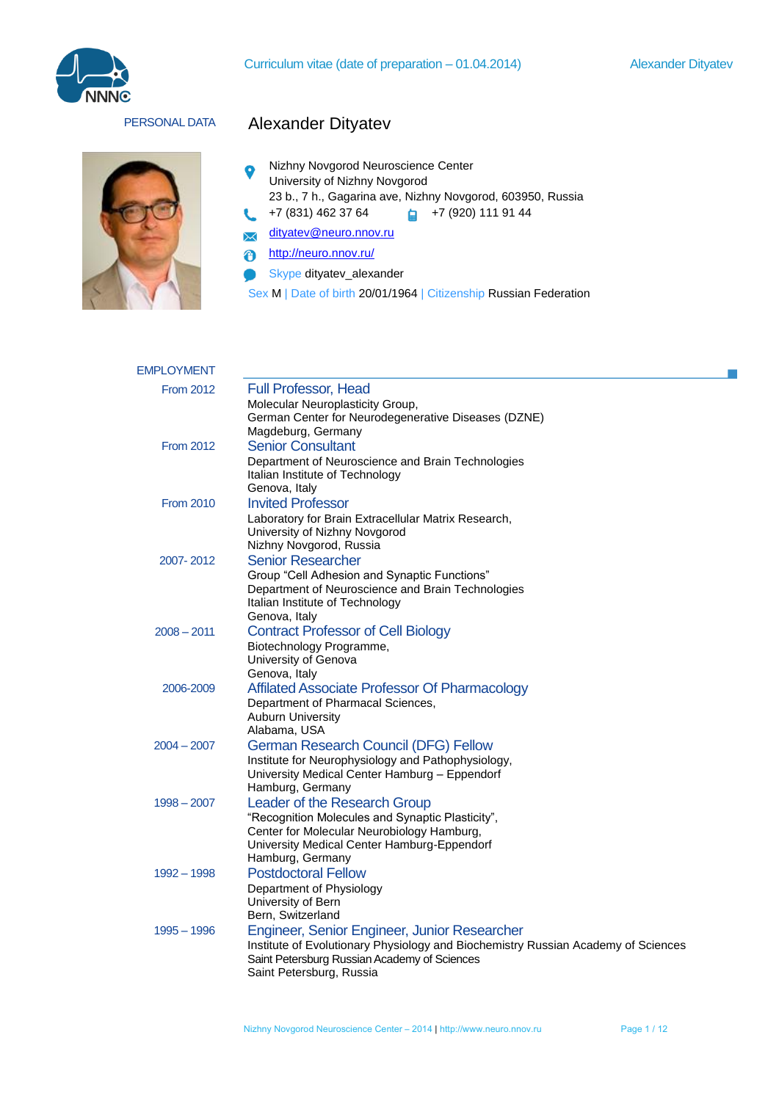



# PERSONAL DATA Alexander Dityatev

- Nizhny Novgorod Neuroscience Center  $\bullet$ University of Nizhny Novgorod
	- 23 b., 7 h., Gagarina ave, Nizhny Novgorod, 603950, Russia
	- +7 (831) 462 37 64 +7 (920) 111 91 44
- [dityatev@neuro.nnov.ru](mailto:dityatev@neuro.nnov.ru)  $\boldsymbol{\times}$
- <http://neuro.nnov.ru/>  $\ddot{\mathbf{e}}$

ŧ.

- Skype dityatev\_alexander  $\bullet$
- Sex M | Date of birth 20/01/1964 | Citizenship Russian Federation

| <b>EMPLOYMENT</b> |                                                                                           |
|-------------------|-------------------------------------------------------------------------------------------|
| <b>From 2012</b>  | Full Professor, Head                                                                      |
|                   | Molecular Neuroplasticity Group,                                                          |
|                   | German Center for Neurodegenerative Diseases (DZNE)                                       |
|                   | Magdeburg, Germany                                                                        |
| <b>From 2012</b>  | <b>Senior Consultant</b>                                                                  |
|                   | Department of Neuroscience and Brain Technologies                                         |
|                   | Italian Institute of Technology                                                           |
|                   | Genova, Italy                                                                             |
| <b>From 2010</b>  | <b>Invited Professor</b>                                                                  |
|                   | Laboratory for Brain Extracellular Matrix Research,<br>University of Nizhny Novgorod      |
|                   | Nizhny Novgorod, Russia                                                                   |
| 2007-2012         | <b>Senior Researcher</b>                                                                  |
|                   | Group "Cell Adhesion and Synaptic Functions"                                              |
|                   | Department of Neuroscience and Brain Technologies                                         |
|                   | Italian Institute of Technology                                                           |
|                   | Genova, Italy                                                                             |
| $2008 - 2011$     | <b>Contract Professor of Cell Biology</b>                                                 |
|                   | Biotechnology Programme,                                                                  |
|                   | University of Genova<br>Genova, Italy                                                     |
| 2006-2009         | Affilated Associate Professor Of Pharmacology                                             |
|                   | Department of Pharmacal Sciences,                                                         |
|                   | <b>Auburn University</b>                                                                  |
|                   | Alabama, USA                                                                              |
| $2004 - 2007$     | <b>German Research Council (DFG) Fellow</b>                                               |
|                   | Institute for Neurophysiology and Pathophysiology,                                        |
|                   | University Medical Center Hamburg - Eppendorf                                             |
|                   | Hamburg, Germany                                                                          |
| $1998 - 2007$     | Leader of the Research Group                                                              |
|                   | "Recognition Molecules and Synaptic Plasticity",                                          |
|                   | Center for Molecular Neurobiology Hamburg,<br>University Medical Center Hamburg-Eppendorf |
|                   | Hamburg, Germany                                                                          |
| 1992 - 1998       | <b>Postdoctoral Fellow</b>                                                                |
|                   | Department of Physiology                                                                  |
|                   | University of Bern                                                                        |
|                   | Bern, Switzerland                                                                         |
| $1995 - 1996$     | Engineer, Senior Engineer, Junior Researcher                                              |
|                   | Institute of Evolutionary Physiology and Biochemistry Russian Academy of Sciences         |
|                   | Saint Petersburg Russian Academy of Sciences                                              |
|                   | Saint Petersburg, Russia                                                                  |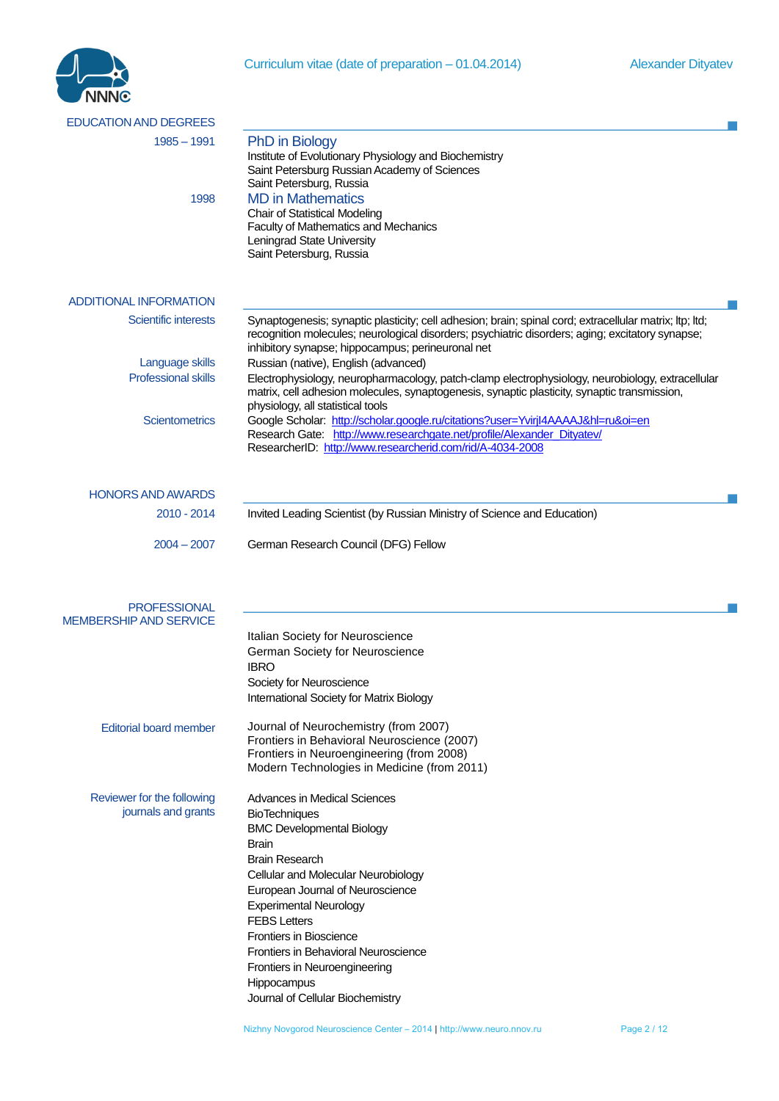Curriculum vitae (date of preparation – 01.04.2014) Alexander Dityatev



| <b>EDUCATION AND DEGREES</b>  |                                                                                                                                                       |
|-------------------------------|-------------------------------------------------------------------------------------------------------------------------------------------------------|
| $1985 - 1991$                 | <b>PhD</b> in Biology                                                                                                                                 |
|                               | Institute of Evolutionary Physiology and Biochemistry<br>Saint Petersburg Russian Academy of Sciences                                                 |
| 1998                          | Saint Petersburg, Russia<br><b>MD</b> in Mathematics                                                                                                  |
|                               | <b>Chair of Statistical Modeling</b>                                                                                                                  |
|                               | Faculty of Mathematics and Mechanics                                                                                                                  |
|                               | Leningrad State University                                                                                                                            |
|                               | Saint Petersburg, Russia                                                                                                                              |
|                               |                                                                                                                                                       |
| <b>ADDITIONAL INFORMATION</b> |                                                                                                                                                       |
| <b>Scientific interests</b>   | Synaptogenesis; synaptic plasticity; cell adhesion; brain; spinal cord; extracellular matrix; ltp; ltd;                                               |
|                               | recognition molecules; neurological disorders; psychiatric disorders; aging; excitatory synapse;<br>inhibitory synapse; hippocampus; perineuronal net |
| Language skills               | Russian (native), English (advanced)                                                                                                                  |
| <b>Professional skills</b>    | Electrophysiology, neuropharmacology, patch-clamp electrophysiology, neurobiology, extracellular                                                      |
|                               | matrix, cell adhesion molecules, synaptogenesis, synaptic plasticity, synaptic transmission,                                                          |
| <b>Scientometrics</b>         | physiology, all statistical tools<br>Google Scholar: http://scholar.google.ru/citations?user=YvirjI4AAAAJ&hl=ru&oi=en                                 |
|                               | Research Gate: http://www.researchgate.net/profile/Alexander_Dityatev/                                                                                |
|                               | ResearcherID: http://www.researcherid.com/rid/A-4034-2008                                                                                             |
|                               |                                                                                                                                                       |
| <b>HONORS AND AWARDS</b>      |                                                                                                                                                       |
| 2010 - 2014                   | Invited Leading Scientist (by Russian Ministry of Science and Education)                                                                              |
|                               |                                                                                                                                                       |
| $2004 - 2007$                 | German Research Council (DFG) Fellow                                                                                                                  |
|                               |                                                                                                                                                       |
|                               |                                                                                                                                                       |
| <b>PROFESSIONAL</b>           |                                                                                                                                                       |
| <b>MEMBERSHIP AND SERVICE</b> |                                                                                                                                                       |
|                               | Italian Society for Neuroscience                                                                                                                      |
|                               | German Society for Neuroscience                                                                                                                       |
|                               | <b>IBRO</b><br>Society for Neuroscience                                                                                                               |
|                               | International Society for Matrix Biology                                                                                                              |
|                               |                                                                                                                                                       |
| <b>Editorial board member</b> | Journal of Neurochemistry (from 2007)                                                                                                                 |
|                               | Frontiers in Behavioral Neuroscience (2007)                                                                                                           |
|                               | Frontiers in Neuroengineering (from 2008)<br>Modern Technologies in Medicine (from 2011)                                                              |
|                               |                                                                                                                                                       |
| Reviewer for the following    | <b>Advances in Medical Sciences</b>                                                                                                                   |
| journals and grants           | <b>BioTechniques</b>                                                                                                                                  |
|                               | <b>BMC Developmental Biology</b><br><b>Brain</b>                                                                                                      |
|                               | <b>Brain Research</b>                                                                                                                                 |
|                               | Cellular and Molecular Neurobiology                                                                                                                   |
|                               | European Journal of Neuroscience                                                                                                                      |
|                               | <b>Experimental Neurology</b>                                                                                                                         |
|                               | <b>FEBS</b> Letters                                                                                                                                   |
|                               | <b>Frontiers in Bioscience</b>                                                                                                                        |
|                               | Frontiers in Behavioral Neuroscience                                                                                                                  |
|                               | Frontiers in Neuroengineering<br>Hippocampus                                                                                                          |
|                               | Journal of Cellular Biochemistry                                                                                                                      |
|                               |                                                                                                                                                       |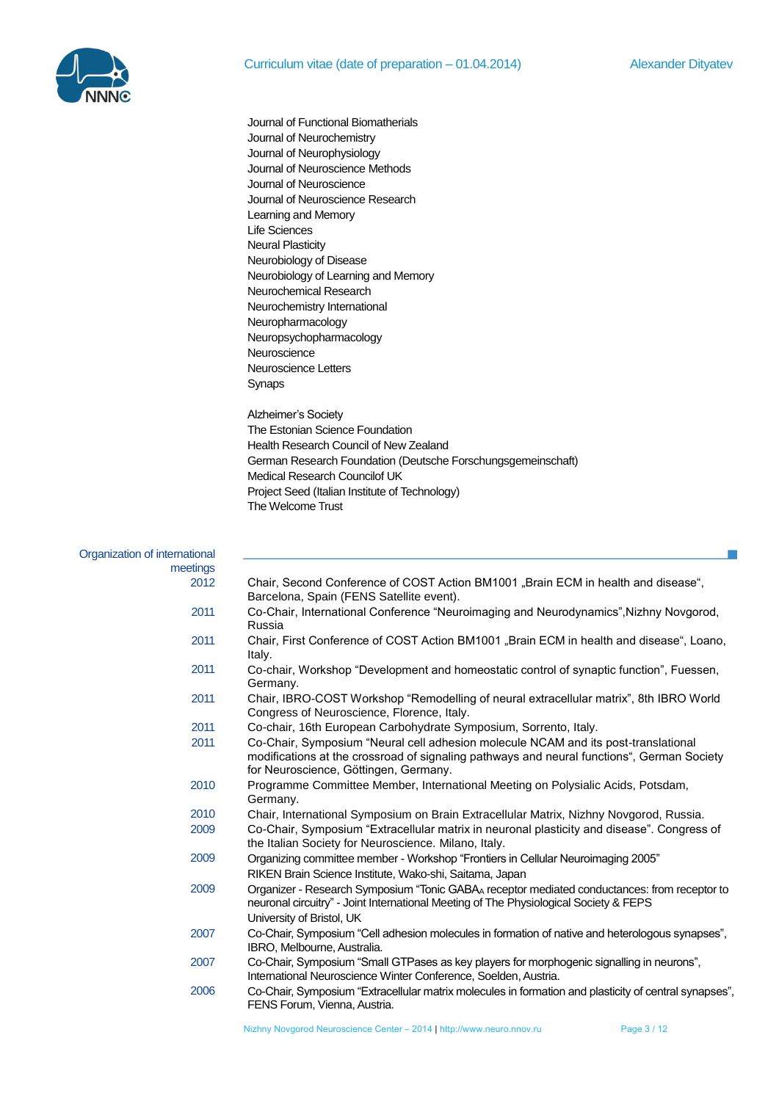**College** 



| Journal of Functional Biomatherials                          |
|--------------------------------------------------------------|
| Journal of Neurochemistry                                    |
| Journal of Neurophysiology                                   |
| Journal of Neuroscience Methods                              |
| Journal of Neuroscience                                      |
| Journal of Neuroscience Research                             |
| Learning and Memory                                          |
| <b>Life Sciences</b>                                         |
| <b>Neural Plasticity</b>                                     |
| Neurobiology of Disease                                      |
| Neurobiology of Learning and Memory                          |
| Neurochemical Research                                       |
| Neurochemistry International                                 |
| Neuropharmacology                                            |
| Neuropsychopharmacology                                      |
| Neuroscience                                                 |
| Neuroscience Letters                                         |
| Synaps                                                       |
| Alzheimer's Society                                          |
| The Estonian Science Foundation                              |
| Health Research Council of New Zealand                       |
| German Research Foundation (Deutsche Forschungsgemeinschaft) |
| Medical Research Councilof UK                                |
| Project Seed (Italian Institute of Technology)               |
| The Welcome Trust                                            |

Organization of international

| .טווטו ו טו וו ווט ו וטווטו |                                                                                                                                                                                                                           |
|-----------------------------|---------------------------------------------------------------------------------------------------------------------------------------------------------------------------------------------------------------------------|
| meetings                    |                                                                                                                                                                                                                           |
| 2012                        | Chair, Second Conference of COST Action BM1001 "Brain ECM in health and disease",<br>Barcelona, Spain (FENS Satellite event).                                                                                             |
| 2011                        | Co-Chair, International Conference "Neuroimaging and Neurodynamics", Nizhny Novgorod,<br>Russia                                                                                                                           |
| 2011                        | Chair, First Conference of COST Action BM1001 "Brain ECM in health and disease", Loano,<br>Italy.                                                                                                                         |
| 2011                        | Co-chair, Workshop "Development and homeostatic control of synaptic function", Fuessen,<br>Germany.                                                                                                                       |
| 2011                        | Chair, IBRO-COST Workshop "Remodelling of neural extracellular matrix", 8th IBRO World<br>Congress of Neuroscience, Florence, Italy.                                                                                      |
| 2011                        | Co-chair, 16th European Carbohydrate Symposium, Sorrento, Italy.                                                                                                                                                          |
| 2011                        | Co-Chair, Symposium "Neural cell adhesion molecule NCAM and its post-translational<br>modifications at the crossroad of signaling pathways and neural functions", German Society<br>for Neuroscience, Göttingen, Germany. |
| 2010                        | Programme Committee Member, International Meeting on Polysialic Acids, Potsdam,<br>Germany.                                                                                                                               |
| 2010                        | Chair, International Symposium on Brain Extracellular Matrix, Nizhny Novgorod, Russia.                                                                                                                                    |
| 2009                        | Co-Chair, Symposium "Extracellular matrix in neuronal plasticity and disease". Congress of<br>the Italian Society for Neuroscience. Milano, Italy.                                                                        |
| 2009                        | Organizing committee member - Workshop "Frontiers in Cellular Neuroimaging 2005"<br>RIKEN Brain Science Institute, Wako-shi, Saitama, Japan                                                                               |
| 2009                        | Organizer - Research Symposium "Tonic GABAA receptor mediated conductances: from receptor to<br>neuronal circuitry" - Joint International Meeting of The Physiological Society & FEPS<br>University of Bristol, UK        |
| 2007                        | Co-Chair, Symposium "Cell adhesion molecules in formation of native and heterologous synapses",<br>IBRO, Melbourne, Australia.                                                                                            |
| 2007                        | Co-Chair, Symposium "Small GTPases as key players for morphogenic signalling in neurons",<br>International Neuroscience Winter Conference, Soelden, Austria.                                                              |
| 2006                        | Co-Chair, Symposium "Extracellular matrix molecules in formation and plasticity of central synapses",<br>FENS Forum, Vienna, Austria.                                                                                     |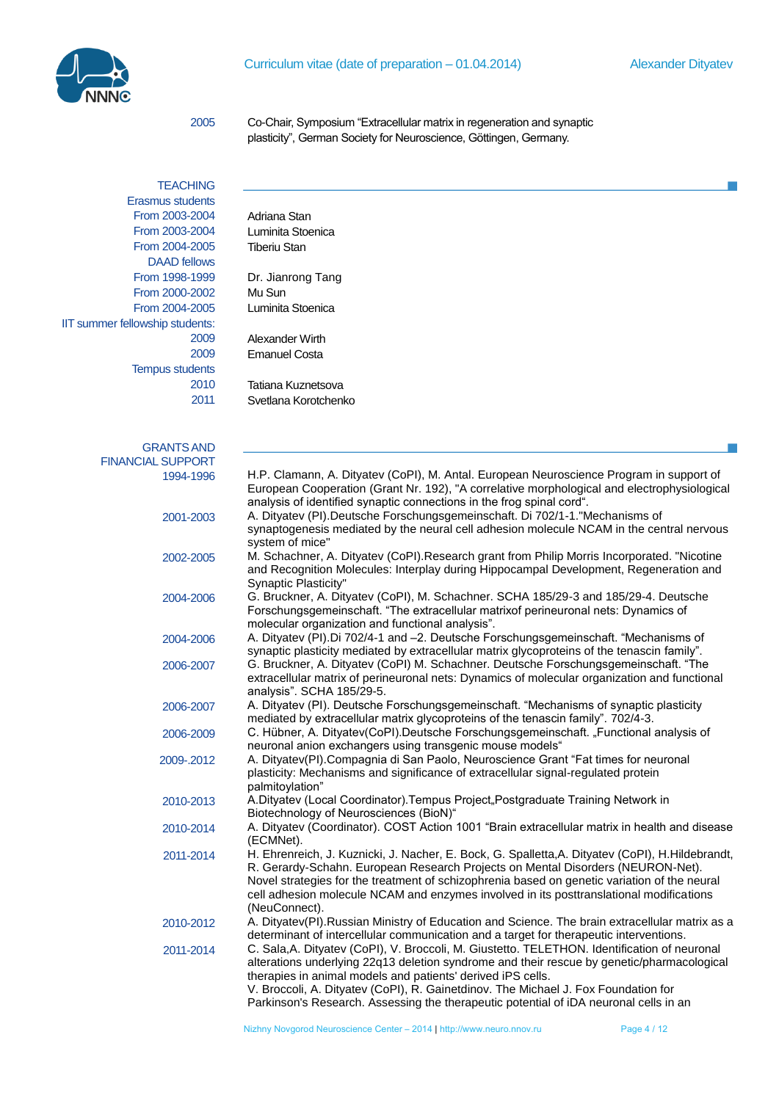

2005 Co-Chair, Symposium "Extracellular matrix in regeneration and synaptic plasticity", German Society for Neuroscience, Göttingen, Germany.

| <b>TEACHING</b>                 |                                                  |
|---------------------------------|--------------------------------------------------|
| Erasmus students                |                                                  |
| From 2003-2004                  | Adriana Stan                                     |
| From 2003-2004                  | Luminita Stoenica                                |
| From 2004-2005                  | <b>Tiberiu Stan</b>                              |
| <b>DAAD</b> fellows             |                                                  |
| From 1998-1999                  | Dr. Jianrong Tan                                 |
| From 2000-2002                  | Mu Sun                                           |
| From 2004-2005                  | Luminita Stoenica                                |
| IIT summer fellowship students: |                                                  |
| 2009                            | Alexander Wirth                                  |
| 2009                            | <b>Emanuel Costa</b>                             |
| <b>Tempus students</b>          |                                                  |
| 2010                            | Tatiana Kuznetsoy                                |
| 2011                            | Svetlana Korotche                                |
|                                 |                                                  |
|                                 |                                                  |
| <b>GRANTS AND</b>               |                                                  |
| <b>FINANCIAL SUPPORT</b>        |                                                  |
| 1994-1996                       | H.P. Clamann, A                                  |
|                                 | European Coope                                   |
|                                 | analysis of identi                               |
| 2001-2003                       | A. Dityatev (PI). <sup>[</sup><br>synaptogenesis |
|                                 | system of mice"                                  |
| 2002-2005                       | M. Schachner, A                                  |
|                                 | and Recognition                                  |
|                                 | Qunantic Diactici:                               |

| Adriana Stan      |
|-------------------|
| Luminita Stoenica |
| Tiberiu Stan      |

ianrong Tang nita Stoenica

na Kuznetsova ana Korotchenko

| <b>GRANTS AND</b> |                                                                                                                                                                                                                                                                                                                                                                                                                                          |
|-------------------|------------------------------------------------------------------------------------------------------------------------------------------------------------------------------------------------------------------------------------------------------------------------------------------------------------------------------------------------------------------------------------------------------------------------------------------|
| CIAL SUPPORT      |                                                                                                                                                                                                                                                                                                                                                                                                                                          |
| 1994-1996         | H.P. Clamann, A. Dityatev (CoPI), M. Antal. European Neuroscience Program in support of<br>European Cooperation (Grant Nr. 192), "A correlative morphological and electrophysiological<br>analysis of identified synaptic connections in the frog spinal cord".                                                                                                                                                                          |
| 2001-2003         | A. Dityatev (PI).Deutsche Forschungsgemeinschaft. Di 702/1-1."Mechanisms of<br>synaptogenesis mediated by the neural cell adhesion molecule NCAM in the central nervous<br>system of mice"                                                                                                                                                                                                                                               |
| 2002-2005         | M. Schachner, A. Dityatev (CoPI).Research grant from Philip Morris Incorporated. "Nicotine<br>and Recognition Molecules: Interplay during Hippocampal Development, Regeneration and<br><b>Synaptic Plasticity"</b>                                                                                                                                                                                                                       |
| 2004-2006         | G. Bruckner, A. Dityatev (CoPI), M. Schachner. SCHA 185/29-3 and 185/29-4. Deutsche<br>Forschungsgemeinschaft. "The extracellular matrixof perineuronal nets: Dynamics of<br>molecular organization and functional analysis".                                                                                                                                                                                                            |
| 2004-2006         | A. Dityatev (PI).Di 702/4-1 and -2. Deutsche Forschungsgemeinschaft. "Mechanisms of<br>synaptic plasticity mediated by extracellular matrix glycoproteins of the tenascin family".                                                                                                                                                                                                                                                       |
| 2006-2007         | G. Bruckner, A. Dityatev (CoPI) M. Schachner. Deutsche Forschungsgemeinschaft. "The<br>extracellular matrix of perineuronal nets: Dynamics of molecular organization and functional<br>analysis". SCHA 185/29-5.                                                                                                                                                                                                                         |
| 2006-2007         | A. Dityatev (PI). Deutsche Forschungsgemeinschaft. "Mechanisms of synaptic plasticity<br>mediated by extracellular matrix glycoproteins of the tenascin family". 702/4-3.                                                                                                                                                                                                                                                                |
| 2006-2009         | C. Hübner, A. Dityatev(CoPI).Deutsche Forschungsgemeinschaft. "Functional analysis of<br>neuronal anion exchangers using transgenic mouse models"                                                                                                                                                                                                                                                                                        |
| 2009-.2012        | A. Dityatev(PI).Compagnia di San Paolo, Neuroscience Grant "Fat times for neuronal<br>plasticity: Mechanisms and significance of extracellular signal-regulated protein<br>palmitoylation"                                                                                                                                                                                                                                               |
| 2010-2013         | A.Dityatev (Local Coordinator).Tempus Project"Postgraduate Training Network in<br>Biotechnology of Neurosciences (BioN)"                                                                                                                                                                                                                                                                                                                 |
| 2010-2014         | A. Dityatev (Coordinator). COST Action 1001 "Brain extracellular matrix in health and disease<br>(ECMNet).                                                                                                                                                                                                                                                                                                                               |
| 2011-2014         | H. Ehrenreich, J. Kuznicki, J. Nacher, E. Bock, G. Spalletta, A. Dityatev (CoPI), H. Hildebrandt,<br>R. Gerardy-Schahn. European Research Projects on Mental Disorders (NEURON-Net).<br>Novel strategies for the treatment of schizophrenia based on genetic variation of the neural<br>cell adhesion molecule NCAM and enzymes involved in its posttranslational modifications<br>(NeuConnect).                                         |
| 2010-2012         | A. Dityatev(PI). Russian Ministry of Education and Science. The brain extracellular matrix as a<br>determinant of intercellular communication and a target for therapeutic interventions.                                                                                                                                                                                                                                                |
| 2011-2014         | C. Sala, A. Dityatev (CoPI), V. Broccoli, M. Giustetto. TELETHON. Identification of neuronal<br>alterations underlying 22q13 deletion syndrome and their rescue by genetic/pharmacological<br>therapies in animal models and patients' derived iPS cells.<br>V. Broccoli, A. Dityatev (CoPI), R. Gainetdinov. The Michael J. Fox Foundation for<br>Parkinson's Research. Assessing the therapeutic potential of iDA neuronal cells in an |
|                   |                                                                                                                                                                                                                                                                                                                                                                                                                                          |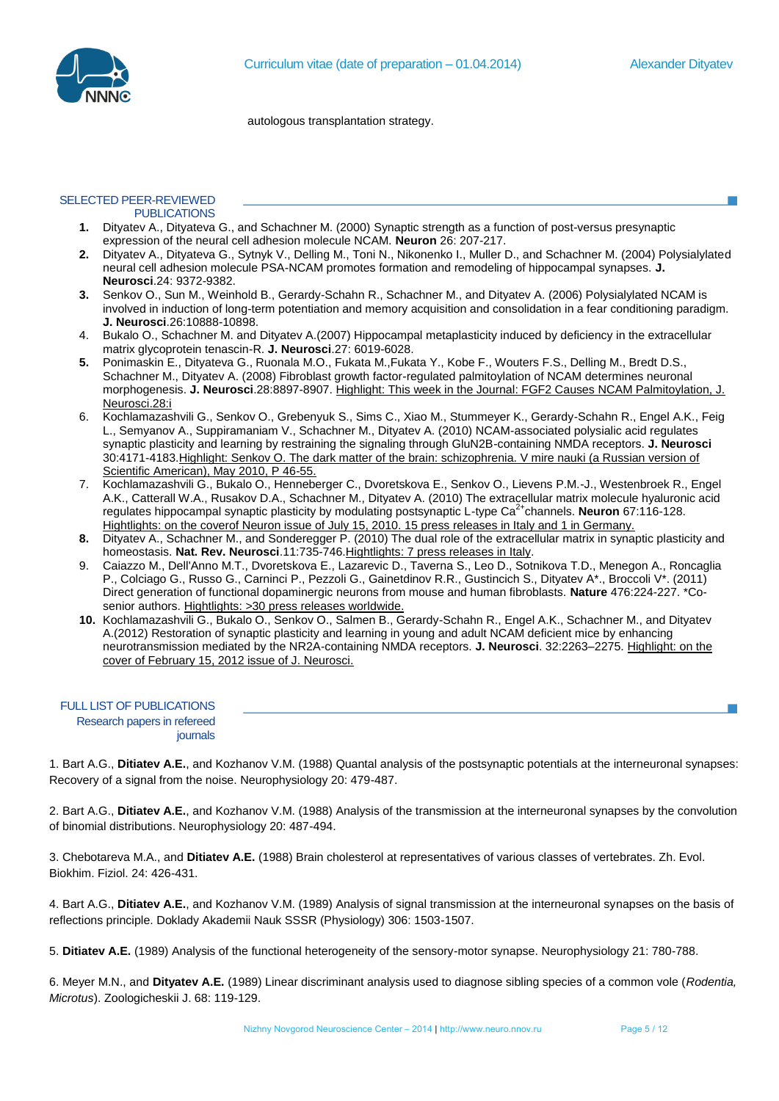

autologous transplantation strategy.

#### SELECTED PEER-REVIEWED **PUBLICATIONS**

- **1.** Dityatev A., Dityateva G., and Schachner M. (2000) Synaptic strength as a function of post-versus presynaptic expression of the neural cell adhesion molecule NCAM. **Neuron** 26: 207-217.
- **2.** Dityatev A., Dityateva G., Sytnyk V., Delling M., Toni N., Nikonenko I., Muller D., and Schachner M. (2004) Polysialylated neural cell adhesion molecule PSA-NCAM promotes formation and remodeling of hippocampal synapses. **J. Neurosci**.24: 9372-9382.
- **3.** Senkov O., Sun M., Weinhold B., Gerardy-Schahn R., Schachner M., and Dityatev A. (2006) Polysialylated NCAM is involved in induction of long-term potentiation and memory acquisition and consolidation in a fear conditioning paradigm. **J. Neurosci**.26:10888-10898.
- 4. Bukalo O., Schachner M. and Dityatev A.(2007) Hippocampal metaplasticity induced by deficiency in the extracellular matrix glycoprotein tenascin-R. **J. Neurosci**.27: 6019-6028.
- **5.** Ponimaskin E., Dityateva G., Ruonala M.O., Fukata M.,Fukata Y., Kobe F., Wouters F.S., Delling M., Bredt D.S., Schachner M., Dityatev A. (2008) Fibroblast growth factor-regulated palmitoylation of NCAM determines neuronal morphogenesis. **J. Neurosci**.28:8897-8907. Highlight: This week in the Journal: FGF2 Causes NCAM Palmitoylation, J. Neurosci.28:i
- 6. Kochlamazashvili G., Senkov O., Grebenyuk S., Sims C., Xiao M., Stummeyer K., Gerardy-Schahn R., Engel A.K., Feig L., Semyanov A., Suppiramaniam V., Schachner M., Dityatev A. (2010) NCAM-associated polysialic acid regulates synaptic plasticity and learning by restraining the signaling through GluN2B-containing NMDA receptors. **J. Neurosci** 30:4171-4183.Highlight: Senkov O. The dark matter of the brain: schizophrenia. V mire nauki (a Russian version of Scientific American), May 2010, P 46-55.
- 7. Kochlamazashvili G., Bukalo O., Henneberger C., Dvoretskova E., Senkov O., Lievens P.M.-J., Westenbroek R., Engel A.K., Catterall W.A., Rusakov D.A., Schachner M., Dityatev A. (2010) The extracellular matrix molecule hyaluronic acid regulates hippocampal synaptic plasticity by modulating postsynaptic L-type Ca2+channels. **Neuron** 67:116-128. Hightlights: on the coverof Neuron issue of July 15, 2010. 15 press releases in Italy and 1 in Germany.
- **8.** Dityatev A., Schachner M., and Sonderegger P. (2010) The dual role of the extracellular matrix in synaptic plasticity and homeostasis. **Nat. Rev. Neurosci**.11:735-746.Hightlights: 7 press releases in Italy.
- 9. Caiazzo M., Dell'Anno M.T., Dvoretskova E., Lazarevic D., Taverna S., Leo D., Sotnikova T.D., Menegon A., Roncaglia P., Colciago G., Russo G., Carninci P., Pezzoli G., Gainetdinov R.R., Gustincich S., Dityatev A\*., Broccoli V\*. (2011) Direct generation of functional dopaminergic neurons from mouse and human fibroblasts. **Nature** 476:224-227. \*Cosenior authors. Hightlights: >30 press releases worldwide.
- **10.** Kochlamazashvili G., Bukalo O., Senkov O., Salmen B., Gerardy-Schahn R., Engel A.K., Schachner M., and Dityatev A.(2012) Restoration of synaptic plasticity and learning in young and adult NCAM deficient mice by enhancing neurotransmission mediated by the NR2A-containing NMDA receptors. **J. Neurosci**. 32:2263–2275. Highlight: on the cover of February 15, 2012 issue of J. Neurosci.

| <b>FULL LIST OF PUBLICATIONS</b> |  |
|----------------------------------|--|
| Research papers in refereed      |  |
| journals                         |  |
|                                  |  |

1. Bart A.G., **Ditiatev A.E.**, and Kozhanov V.M. (1988) Quantal analysis of the postsynaptic potentials at the interneuronal synapses: Recovery of a signal from the noise. Neurophysiology 20: 479-487.

2. Bart A.G., **Ditiatev A.E.**, and Kozhanov V.M. (1988) Analysis of the transmission at the interneuronal synapses by the convolution of binomial distributions. Neurophysiology 20: 487-494.

3. Chebotareva M.A., and **Ditiatev A.E.** (1988) Brain cholesterol at representatives of various classes of vertebrates. Zh. Evol. Biokhim. Fiziol. 24: 426-431.

4. Bart A.G., **Ditiatev A.E.**, and Kozhanov V.M. (1989) Analysis of signal transmission at the interneuronal synapses on the basis of reflections principle. Doklady Akademii Nauk SSSR (Physiology) 306: 1503-1507.

5. **Ditiatev A.E.** (1989) Analysis of the functional heterogeneity of the sensory-motor synapse. Neurophysiology 21: 780-788.

6. Meyer M.N., and **Dityatev A.E.** (1989) Linear discriminant analysis used to diagnose sibling species of a common vole (*Rodentia, Microtus*). Zoologicheskii J. 68: 119-129.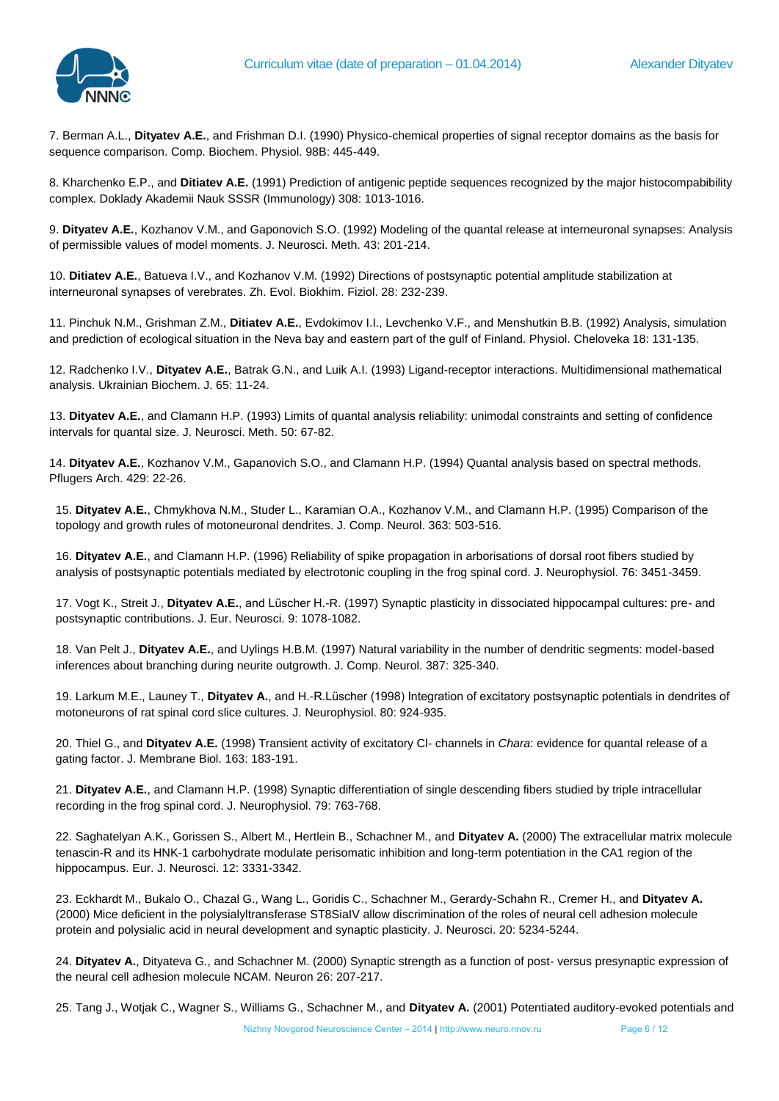

7. Berman A.L., **Dityatev A.E.**, and Frishman D.I. (1990) Physico-chemical properties of signal receptor domains as the basis for sequence comparison. Comp. Biochem. Physiol. 98B: 445-449.

8. Kharchenko E.P., and **Ditiatev A.E.** (1991) Prediction of antigenic peptide sequences recognized by the major histocompabibility complex. Doklady Akademii Nauk SSSR (Immunology) 308: 1013-1016.

9. **Dityatev A.E.**, Kozhanov V.M., and Gaponovich S.O. (1992) Modeling of the quantal release at interneuronal synapses: Analysis of permissible values of model moments. J. Neurosci. Meth. 43: 201-214.

10. **Ditiatev A.E.**, Batueva I.V., and Kozhanov V.M. (1992) Directions of postsynaptic potential amplitude stabilization at interneuronal synapses of verebrates. Zh. Evol. Biokhim. Fiziol. 28: 232-239.

11. Pinchuk N.M., Grishman Z.M., **Ditiatev A.E.**, Evdokimov I.I., Levchenko V.F., and Menshutkin B.B. (1992) Analysis, simulation and prediction of ecological situation in the Neva bay and eastern part of the gulf of Finland. Physiol. Cheloveka 18: 131-135.

12. Radchenko I.V., **Dityatev A.E.**, Batrak G.N., and Luik A.I. (1993) Ligand-receptor interactions. Multidimensional mathematical analysis. Ukrainian Biochem. J. 65: 11-24.

13. **Dityatev A.E.**, and Clamann H.P. (1993) Limits of quantal analysis reliability: unimodal constraints and setting of confidence intervals for quantal size. J. Neurosci. Meth. 50: 67-82.

14. **Dityatev A.E.**, Kozhanov V.M., Gapanovich S.O., and Clamann H.P. (1994) Quantal analysis based on spectral methods. Pflugers Arch. 429: 22-26.

15. **Dityatev A.E.**, Chmykhova N.M., Studer L., Karamian O.A., Kozhanov V.M., and Clamann H.P. (1995) Comparison of the topology and growth rules of motoneuronal dendrites. J. Comp. Neurol. 363: 503-516.

16. **Dityatev A.E.**, and Clamann H.P. (1996) Reliability of spike propagation in arborisations of dorsal root fibers studied by analysis of postsynaptic potentials mediated by electrotonic coupling in the frog spinal cord. J. Neurophysiol. 76: 3451-3459.

17. Vogt K., Streit J., **Dityatev A.E.**, and Lüscher H.-R. (1997) Synaptic plasticity in dissociated hippocampal cultures: pre- and postsynaptic contributions. J. Eur. Neurosci. 9: 1078-1082.

18. Van Pelt J., **Dityatev A.E.**, and Uylings H.B.M. (1997) Natural variability in the number of dendritic segments: model-based inferences about branching during neurite outgrowth. J. Comp. Neurol. 387: 325-340.

19. Larkum M.E., Launey T., **Dityatev A.**, and H.-R.Lüscher (1998) Integration of excitatory postsynaptic potentials in dendrites of motoneurons of rat spinal cord slice cultures. J. Neurophysiol. 80: 924-935.

20. Thiel G., and **Dityatev A.E.** (1998) Transient activity of excitatory Cl- channels in *Chara*: evidence for quantal release of a gating factor. J. Membrane Biol. 163: 183-191.

21. **Dityatev A.E.**, and Clamann H.P. (1998) Synaptic differentiation of single descending fibers studied by triple intracellular recording in the frog spinal cord. J. Neurophysiol. 79: 763-768.

22. Saghatelyan A.K., Gorissen S., Albert M., Hertlein B., Schachner M., and **Dityatev A.** (2000) The extracellular matrix molecule tenascin-R and its HNK-1 carbohydrate modulate perisomatic inhibition and long-term potentiation in the CA1 region of the hippocampus. Eur. J. Neurosci. 12: 3331-3342.

23. Eckhardt M., Bukalo O., Chazal G., Wang L., Goridis C., Schachner M., Gerardy-Schahn R., Cremer H., and **Dityatev A.**  (2000) Mice deficient in the polysialyltransferase ST8SiaIV allow discrimination of the roles of neural cell adhesion molecule protein and polysialic acid in neural development and synaptic plasticity. J. Neurosci. 20: 5234-5244.

24. **Dityatev A.**, Dityateva G., and Schachner M. (2000) Synaptic strength as a function of post- versus presynaptic expression of the neural cell adhesion molecule NCAM. Neuron 26: 207-217.

25. Tang J., Wotjak C., Wagner S., Williams G., Schachner M., and **Dityatev A.** (2001) Potentiated auditory-evoked potentials and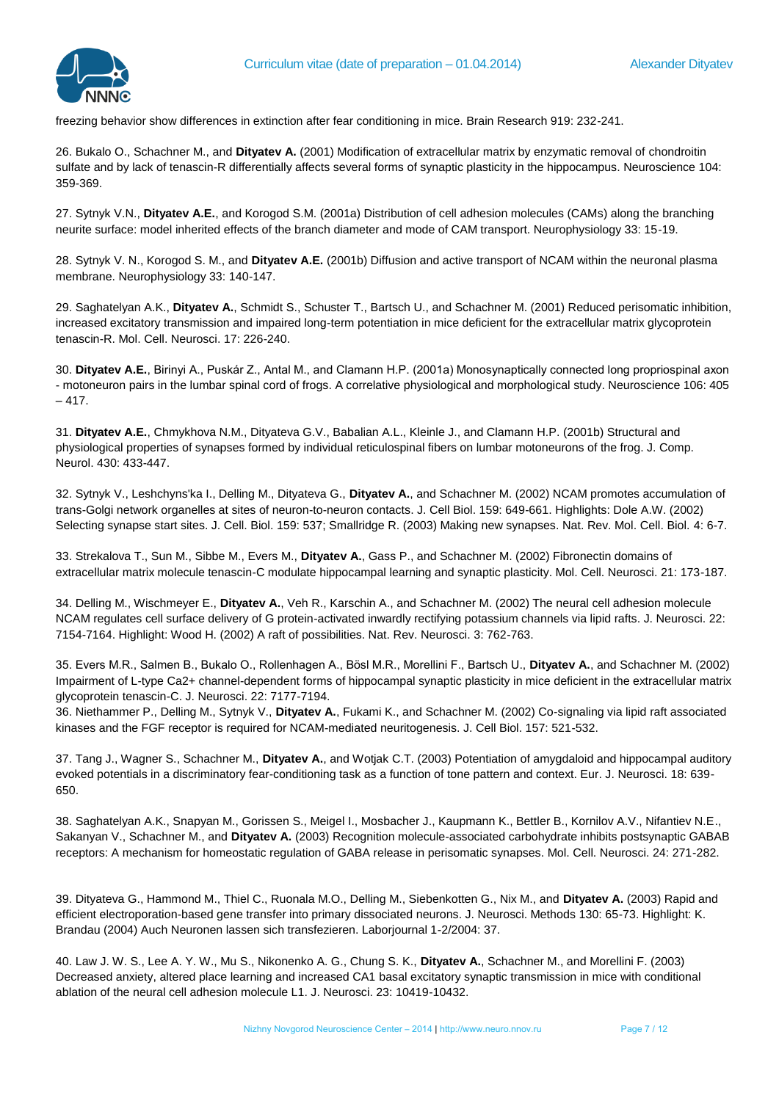

freezing behavior show differences in extinction after fear conditioning in mice. Brain Research 919: 232-241.

26. Bukalo O., Schachner M., and **Dityatev A.** (2001) Modification of extracellular matrix by enzymatic removal of chondroitin sulfate and by lack of tenascin-R differentially affects several forms of synaptic plasticity in the hippocampus. Neuroscience 104: 359-369.

27. Sytnyk V.N., **Dityatev A.E.**, and Korogod S.M. (2001a) Distribution of cell adhesion molecules (CAMs) along the branching neurite surface: model inherited effects of the branch diameter and mode of CAM transport. Neurophysiology 33: 15-19.

28. Sytnyk V. N., Korogod S. M., and **Dityatev A.E.** (2001b) Diffusion and active transport of NCAM within the neuronal plasma membrane. Neurophysiology 33: 140-147.

29. Saghatelyan A.K., **Dityatev A.**, Schmidt S., Schuster T., Bartsch U., and Schachner M. (2001) Reduced perisomatic inhibition, increased excitatory transmission and impaired long-term potentiation in mice deficient for the extracellular matrix glycoprotein tenascin-R. Mol. Cell. Neurosci. 17: 226-240.

30. **Dityatev A.E.**, Birinyi A., Puskár Z., Antal M., and Clamann H.P. (2001a) Monosynaptically connected long propriospinal axon - motoneuron pairs in the lumbar spinal cord of frogs. A correlative physiological and morphological study. Neuroscience 106: 405  $-417.$ 

31. **Dityatev A.E.**, Chmykhova N.M., Dityateva G.V., Babalian A.L., Kleinle J., and Clamann H.P. (2001b) Structural and physiological properties of synapses formed by individual reticulospinal fibers on lumbar motoneurons of the frog. J. Comp. Neurol. 430: 433-447.

32. Sytnyk V., Leshchyns'ka I., Delling M., Dityateva G., **Dityatev A.**, and Schachner M. (2002) NCAM promotes accumulation of trans-Golgi network organelles at sites of neuron-to-neuron contacts. J. Cell Biol. 159: 649-661. Highlights: Dole A.W. (2002) Selecting synapse start sites. J. Cell. Biol. 159: 537; Smallridge R. (2003) Making new synapses. Nat. Rev. Mol. Cell. Biol. 4: 6-7.

33. Strekalova T., Sun M., Sibbe M., Evers M., **Dityatev A.**, Gass P., and Schachner M. (2002) Fibronectin domains of extracellular matrix molecule tenascin-C modulate hippocampal learning and synaptic plasticity. Mol. Cell. Neurosci. 21: 173-187.

34. Delling M., Wischmeyer E., **Dityatev A.**, Veh R., Karschin A., and Schachner M. (2002) The neural cell adhesion molecule NCAM regulates cell surface delivery of G protein-activated inwardly rectifying potassium channels via lipid rafts. J. Neurosci. 22: 7154-7164. Highlight: Wood H. (2002) A raft of possibilities. Nat. Rev. Neurosci. 3: 762-763.

35. Evers M.R., Salmen B., Bukalo O., Rollenhagen A., Bösl M.R., Morellini F., Bartsch U., **Dityatev A.**, and Schachner M. (2002) Impairment of L-type Ca2+ channel-dependent forms of hippocampal synaptic plasticity in mice deficient in the extracellular matrix glycoprotein tenascin-C. J. Neurosci. 22: 7177-7194.

36. Niethammer P., Delling M., Sytnyk V., **Dityatev A.**, Fukami K., and Schachner M. (2002) Co-signaling via lipid raft associated kinases and the FGF receptor is required for NCAM-mediated neuritogenesis. J. Cell Biol. 157: 521-532.

37. Tang J., Wagner S., Schachner M., **Dityatev A.**, and Wotjak C.T. (2003) Potentiation of amygdaloid and hippocampal auditory evoked potentials in a discriminatory fear-conditioning task as a function of tone pattern and context. Eur. J. Neurosci. 18: 639- 650.

38. Saghatelyan A.K., Snapyan M., Gorissen S., Meigel I., Mosbacher J., Kaupmann K., Bettler B., Kornilov A.V., Nifantiev N.E., Sakanyan V., Schachner M., and **Dityatev A.** (2003) Recognition molecule-associated carbohydrate inhibits postsynaptic GABAB receptors: A mechanism for homeostatic regulation of GABA release in perisomatic synapses. Mol. Cell. Neurosci. 24: 271-282.

39. Dityateva G., Hammond M., Thiel C., Ruonala M.O., Delling M., Siebenkotten G., Nix M., and **Dityatev A.** (2003) Rapid and efficient electroporation-based gene transfer into primary dissociated neurons. J. Neurosci. Methods 130: 65-73. Highlight: K. Brandau (2004) Auch Neuronen lassen sich transfezieren. Laborjournal 1-2/2004: 37.

40. Law J. W. S., Lee A. Y. W., Mu S., Nikonenko A. G., Chung S. K., **Dityatev A.**, Schachner M., and Morellini F. (2003) Decreased anxiety, altered place learning and increased CA1 basal excitatory synaptic transmission in mice with conditional ablation of the neural cell adhesion molecule L1. J. Neurosci. 23: 10419-10432.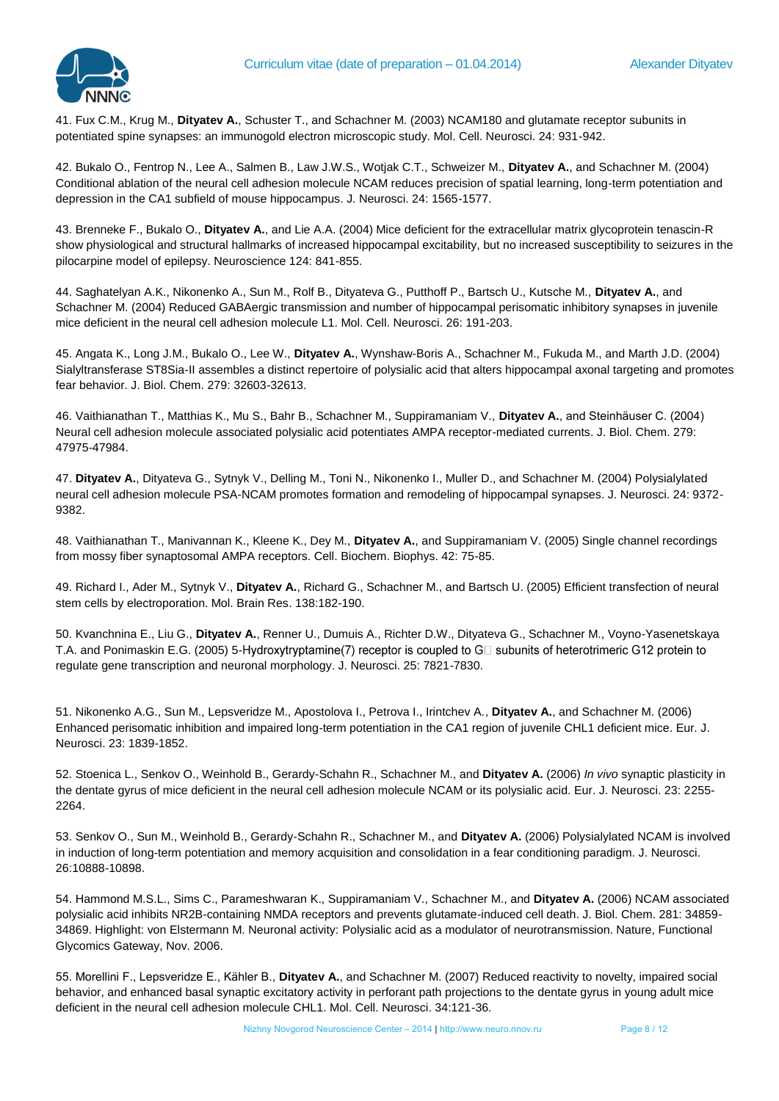

41. Fux C.M., Krug M., **Dityatev A.**, Schuster T., and Schachner M. (2003) NCAM180 and glutamate receptor subunits in potentiated spine synapses: an immunogold electron microscopic study. Mol. Cell. Neurosci. 24: 931-942.

42. Bukalo O., Fentrop N., Lee A., Salmen B., Law J.W.S., Wotjak C.T., Schweizer M., **Dityatev A.**, and Schachner M. (2004) Conditional ablation of the neural cell adhesion molecule NCAM reduces precision of spatial learning, long-term potentiation and depression in the CA1 subfield of mouse hippocampus. J. Neurosci. 24: 1565-1577.

43. Brenneke F., Bukalo O., **Dityatev A.**, and Lie A.A. (2004) Mice deficient for the extracellular matrix glycoprotein tenascin-R show physiological and structural hallmarks of increased hippocampal excitability, but no increased susceptibility to seizures in the pilocarpine model of epilepsy. Neuroscience 124: 841-855.

44. Saghatelyan A.K., Nikonenko A., Sun M., Rolf B., Dityateva G., Putthoff P., Bartsch U., Kutsche M., **Dityatev A.**, and Schachner M. (2004) Reduced GABAergic transmission and number of hippocampal perisomatic inhibitory synapses in juvenile mice deficient in the neural cell adhesion molecule L1. Mol. Cell. Neurosci. 26: 191-203.

45. Angata K., Long J.M., Bukalo O., Lee W., **Dityatev A.**, Wynshaw-Boris A., Schachner M., Fukuda M., and Marth J.D. (2004) Sialyltransferase ST8Sia-II assembles a distinct repertoire of polysialic acid that alters hippocampal axonal targeting and promotes fear behavior. J. Biol. Chem. 279: 32603-32613.

46. Vaithianathan T., Matthias K., Mu S., Bahr B., Schachner M., Suppiramaniam V., **Dityatev A.**, and Steinhäuser C. (2004) Neural cell adhesion molecule associated polysialic acid potentiates AMPA receptor-mediated currents. J. Biol. Chem. 279: 47975-47984.

47. **Dityatev A.**, Dityateva G., Sytnyk V., Delling M., Toni N., Nikonenko I., Muller D., and Schachner M. (2004) Polysialylated neural cell adhesion molecule PSA-NCAM promotes formation and remodeling of hippocampal synapses. J. Neurosci. 24: 9372- 9382.

48. Vaithianathan T., Manivannan K., Kleene K., Dey M., **Dityatev A.**, and Suppiramaniam V. (2005) Single channel recordings from mossy fiber synaptosomal AMPA receptors. Cell. Biochem. Biophys. 42: 75-85.

49. Richard I., Ader M., Sytnyk V., **Dityatev A.**, Richard G., Schachner M., and Bartsch U. (2005) Efficient transfection of neural stem cells by electroporation. Mol. Brain Res. 138:182-190.

50. Kvanchnina E., Liu G., **Dityatev A.**, Renner U., Dumuis A., Richter D.W., Dityateva G., Schachner M., Voyno-Yasenetskaya T.A. and Ponimaskin E.G. (2005) 5-Hydroxytryptamine(7) receptor is coupled to G $\Box$  subunits of heterotrimeric G12 protein to regulate gene transcription and neuronal morphology. J. Neurosci. 25: 7821-7830.

51. Nikonenko A.G., Sun M., Lepsveridze M., Apostolova I., Petrova I., Irintchev A., **Dityatev A.**, and Schachner M. (2006) Enhanced perisomatic inhibition and impaired long-term potentiation in the CA1 region of juvenile CHL1 deficient mice. Eur. J. Neurosci. 23: 1839-1852.

52. Stoenica L., Senkov O., Weinhold B., Gerardy-Schahn R., Schachner M., and **Dityatev A.** (2006) *In vivo* synaptic plasticity in the dentate gyrus of mice deficient in the neural cell adhesion molecule NCAM or its polysialic acid. Eur. J. Neurosci. 23: 2255- 2264.

53. Senkov O., Sun M., Weinhold B., Gerardy-Schahn R., Schachner M., and **Dityatev A.** (2006) Polysialylated NCAM is involved in induction of long-term potentiation and memory acquisition and consolidation in a fear conditioning paradigm. J. Neurosci. 26:10888-10898.

54. Hammond M.S.L., Sims C., Parameshwaran K., Suppiramaniam V., Schachner M., and **Dityatev A.** (2006) NCAM associated polysialic acid inhibits NR2B-containing NMDA receptors and prevents glutamate-induced cell death. J. Biol. Chem. 281: 34859- 34869. Highlight: von Elstermann M. Neuronal activity: Polysialic acid as a modulator of neurotransmission. Nature, Functional Glycomics Gateway, Nov. 2006.

55. Morellini F., Lepsveridze E., Kähler B., **Dityatev A.**, and Schachner M. (2007) Reduced reactivity to novelty, impaired social behavior, and enhanced basal synaptic excitatory activity in perforant path projections to the dentate gyrus in young adult mice deficient in the neural cell adhesion molecule CHL1. Mol. Cell. Neurosci. 34:121-36.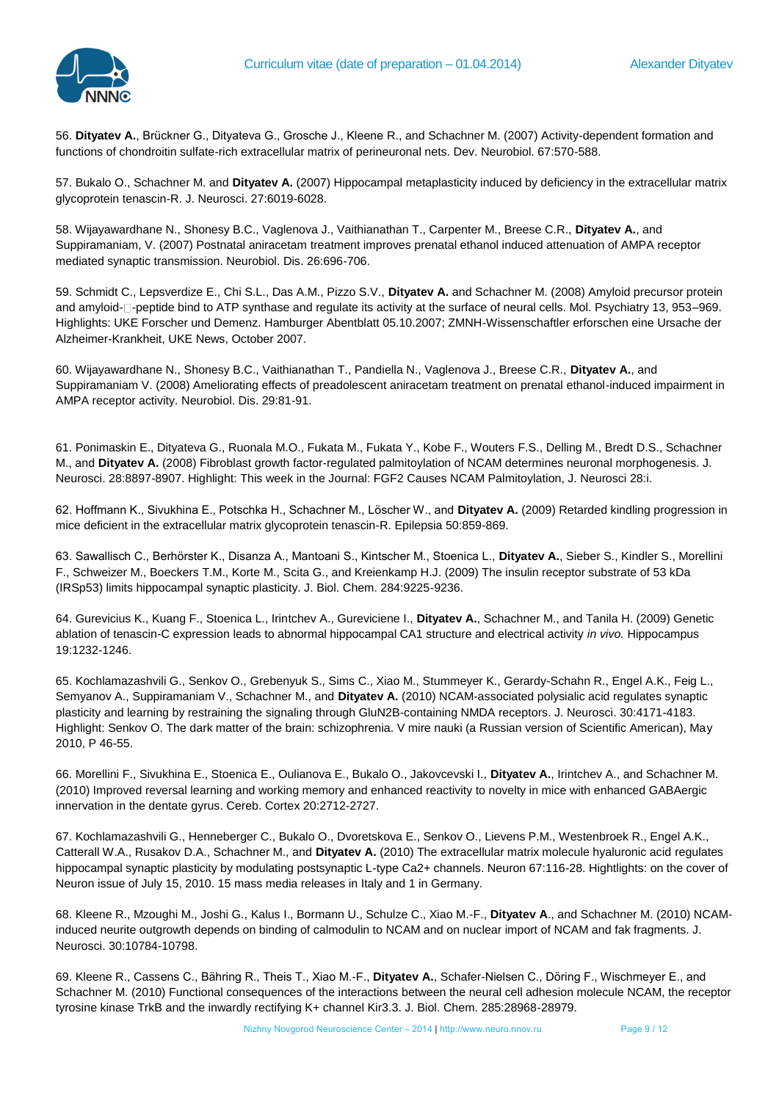

56. **Dityatev A.**, Brückner G., Dityateva G., Grosche J., Kleene R., and Schachner M. (2007) Activity-dependent formation and functions of chondroitin sulfate-rich extracellular matrix of perineuronal nets. Dev. Neurobiol. 67:570-588.

57. Bukalo O., Schachner M. and **Dityatev A.** (2007) Hippocampal metaplasticity induced by deficiency in the extracellular matrix glycoprotein tenascin-R. J. Neurosci. 27:6019-6028.

58. Wijayawardhane N., Shonesy B.C., Vaglenova J., Vaithianathan T., Carpenter M., Breese C.R., **Dityatev A.**, and Suppiramaniam, V. (2007) Postnatal aniracetam treatment improves prenatal ethanol induced attenuation of AMPA receptor mediated synaptic transmission. Neurobiol. Dis. 26:696-706.

59. Schmidt C., Lepsverdize E., Chi S.L., Das A.M., Pizzo S.V., **Dityatev A.** and Schachner M. (2008) Amyloid precursor protein and amyloid- $\Box$ -peptide bind to ATP synthase and regulate its activity at the surface of neural cells. Mol. Psychiatry 13, 953–969. Highlights: UKE Forscher und Demenz. Hamburger Abentblatt 05.10.2007; ZMNH-Wissenschaftler erforschen eine Ursache der Alzheimer-Krankheit, UKE News, October 2007.

60. Wijayawardhane N., Shonesy B.C., Vaithianathan T., Pandiella N., Vaglenova J., Breese C.R., **Dityatev A.**, and Suppiramaniam V. (2008) Ameliorating effects of preadolescent aniracetam treatment on prenatal ethanol-induced impairment in AMPA receptor activity. Neurobiol. Dis. 29:81-91.

61. Ponimaskin E., Dityateva G., Ruonala M.O., Fukata M., Fukata Y., Kobe F., Wouters F.S., Delling M., Bredt D.S., Schachner M., and **Dityatev A.** (2008) Fibroblast growth factor-regulated palmitoylation of NCAM determines neuronal morphogenesis. J. Neurosci. 28:8897-8907. Highlight: This week in the Journal: FGF2 Causes NCAM Palmitoylation, J. Neurosci 28:i.

62. Hoffmann K., Sivukhina E., Potschka H., Schachner M., Löscher W., and **Dityatev A.** (2009) Retarded kindling progression in mice deficient in the extracellular matrix glycoprotein tenascin-R. Epilepsia 50:859-869.

63. Sawallisch C., Berhörster K., Disanza A., Mantoani S., Kintscher M., Stoenica L., **Dityatev A.**, Sieber S., Kindler S., Morellini F., Schweizer M., Boeckers T.M., Korte M., Scita G., and Kreienkamp H.J. (2009) The insulin receptor substrate of 53 kDa (IRSp53) limits hippocampal synaptic plasticity. J. Biol. Chem. 284:9225-9236.

64. Gurevicius K., Kuang F., Stoenica L., Irintchev A., Gureviciene I., **Dityatev A.**, Schachner M., and Tanila H. (2009) Genetic ablation of tenascin-C expression leads to abnormal hippocampal CA1 structure and electrical activity *in vivo.* Hippocampus 19:1232-1246.

65. Kochlamazashvili G., Senkov O., Grebenyuk S., Sims C., Xiao M., Stummeyer K., Gerardy-Schahn R., Engel A.K., Feig L., Semyanov A., Suppiramaniam V., Schachner M., and **Dityatev A.** (2010) NCAM-associated polysialic acid regulates synaptic plasticity and learning by restraining the signaling through GluN2B-containing NMDA receptors. J. Neurosci. 30:4171-4183. Highlight: Senkov O. The dark matter of the brain: schizophrenia. V mire nauki (a Russian version of Scientific American), May 2010, P 46-55.

66. Morellini F., Sivukhina E., Stoenica E., Oulianova E., Bukalo O., Jakovcevski I., **Dityatev A.**, Irintchev A., and Schachner M. (2010) Improved reversal learning and working memory and enhanced reactivity to novelty in mice with enhanced GABAergic innervation in the dentate gyrus. Cereb. Cortex 20:2712-2727.

67. Kochlamazashvili G., Henneberger C., Bukalo O., Dvoretskova E., Senkov O., Lievens P.M., Westenbroek R., Engel A.K., Catterall W.A., Rusakov D.A., Schachner M., and **Dityatev A.** (2010) The extracellular matrix molecule hyaluronic acid regulates hippocampal synaptic plasticity by modulating postsynaptic L-type Ca2+ channels. Neuron 67:116-28. Hightlights: on the cover of Neuron issue of July 15, 2010. 15 mass media releases in Italy and 1 in Germany.

68. Kleene R., Mzoughi M., Joshi G., Kalus I., Bormann U., Schulze C., Xiao M.-F., **Dityatev A**., and Schachner M. (2010) NCAMinduced neurite outgrowth depends on binding of calmodulin to NCAM and on nuclear import of NCAM and fak fragments. J. Neurosci. 30:10784-10798.

69. Kleene R., Cassens C., Bähring R., Theis T., Xiao M.-F., **Dityatev A.**, Schafer-Nielsen C., Döring F., Wischmeyer E., and Schachner M. (2010) Functional consequences of the interactions between the neural cell adhesion molecule NCAM, the receptor tyrosine kinase TrkB and the inwardly rectifying K+ channel Kir3.3. J. Biol. Chem. 285:28968-28979.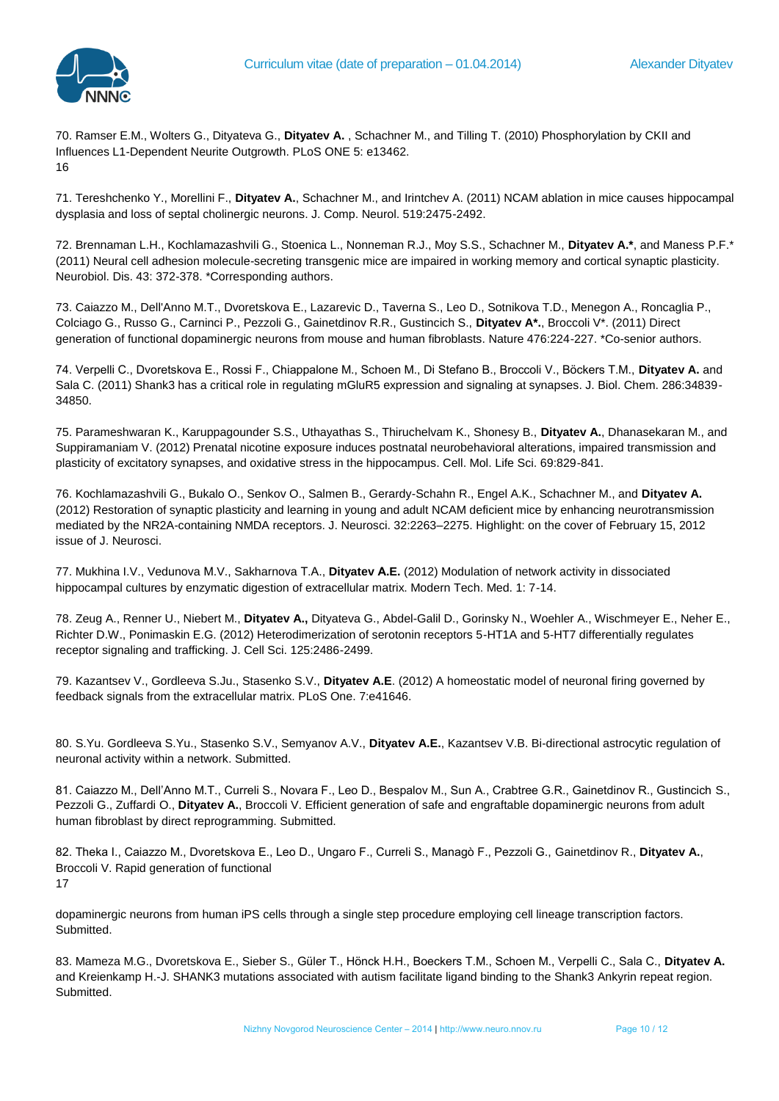70. Ramser E.M., Wolters G., Dityateva G., **Dityatev A.** , Schachner M., and Tilling T. (2010) Phosphorylation by CKII and Influences L1-Dependent Neurite Outgrowth. PLoS ONE 5: e13462. 16

71. Tereshchenko Y., Morellini F., **Dityatev A.**, Schachner M., and Irintchev A. (2011) NCAM ablation in mice causes hippocampal dysplasia and loss of septal cholinergic neurons. J. Comp. Neurol. 519:2475-2492.

72. Brennaman L.H., Kochlamazashvili G., Stoenica L., Nonneman R.J., Moy S.S., Schachner M., **Dityatev A.\***, and Maness P.F.\* (2011) Neural cell adhesion molecule-secreting transgenic mice are impaired in working memory and cortical synaptic plasticity. Neurobiol. Dis. 43: 372-378. \*Corresponding authors.

73. Caiazzo M., Dell'Anno M.T., Dvoretskova E., Lazarevic D., Taverna S., Leo D., Sotnikova T.D., Menegon A., Roncaglia P., Colciago G., Russo G., Carninci P., Pezzoli G., Gainetdinov R.R., Gustincich S., **Dityatev A\*.**, Broccoli V\*. (2011) Direct generation of functional dopaminergic neurons from mouse and human fibroblasts. Nature 476:224-227. \*Co-senior authors.

74. Verpelli C., Dvoretskova E., Rossi F., Chiappalone M., Schoen M., Di Stefano B., Broccoli V., Böckers T.M., **Dityatev A.** and Sala C. (2011) Shank3 has a critical role in regulating mGluR5 expression and signaling at synapses. J. Biol. Chem. 286:34839- 34850.

75. Parameshwaran K., Karuppagounder S.S., Uthayathas S., Thiruchelvam K., Shonesy B., **Dityatev A.**, Dhanasekaran M., and Suppiramaniam V. (2012) Prenatal nicotine exposure induces postnatal neurobehavioral alterations, impaired transmission and plasticity of excitatory synapses, and oxidative stress in the hippocampus. Cell. Mol. Life Sci. 69:829-841.

76. Kochlamazashvili G., Bukalo O., Senkov O., Salmen B., Gerardy-Schahn R., Engel A.K., Schachner M., and **Dityatev A.**  (2012) Restoration of synaptic plasticity and learning in young and adult NCAM deficient mice by enhancing neurotransmission mediated by the NR2A-containing NMDA receptors. J. Neurosci. 32:2263–2275. Highlight: on the cover of February 15, 2012 issue of J. Neurosci.

77. Mukhina I.V., Vedunova М.V., Sakharnova Т.А., **Dityatev А.E.** (2012) Modulation of network activity in dissociated hippocampal cultures by enzymatic digestion of extracellular matrix. Modern Tech. Med. 1: 7-14.

78. Zeug A., Renner U., Niebert M., **Dityatev A.,** Dityateva G., Abdel-Galil D., Gorinsky N., Woehler A., Wischmeyer E., Neher E., Richter D.W., Ponimaskin E.G. (2012) Heterodimerization of serotonin receptors 5-HT1A and 5-HT7 differentially regulates receptor signaling and trafficking. J. Cell Sci. 125:2486-2499.

79. Kazantsev V., Gordleeva S.Ju., Stasenko S.V., **Dityatev A.E**. (2012) A homeostatic model of neuronal firing governed by feedback signals from the extracellular matrix. PLoS One. 7:e41646.

80. S.Yu. Gordleeva S.Yu., Stasenko S.V., Semyanov A.V., **Dityatev A.E.**, Kazantsev V.B. Bi-directional astrocytic regulation of neuronal activity within a network. Submitted.

81. Caiazzo M., Dell'Anno M.T., Curreli S., Novara F., Leo D., Bespalov M., Sun A., Crabtree G.R., Gainetdinov R., Gustincich S., Pezzoli G., Zuffardi O., **Dityatev A.**, Broccoli V. Efficient generation of safe and engraftable dopaminergic neurons from adult human fibroblast by direct reprogramming. Submitted.

82. Theka I., Caiazzo M., Dvoretskova E., Leo D., Ungaro F., Curreli S., Managò F., Pezzoli G., Gainetdinov R., **Dityatev A.**, Broccoli V. Rapid generation of functional 17

dopaminergic neurons from human iPS cells through a single step procedure employing cell lineage transcription factors. Submitted.

83. Mameza M.G., Dvoretskova E., Sieber S., Güler T., Hönck H.H., Boeckers T.M., Schoen M., Verpelli C., Sala C., **Dityatev A.**  and Kreienkamp H.-J. SHANK3 mutations associated with autism facilitate ligand binding to the Shank3 Ankyrin repeat region. Submitted.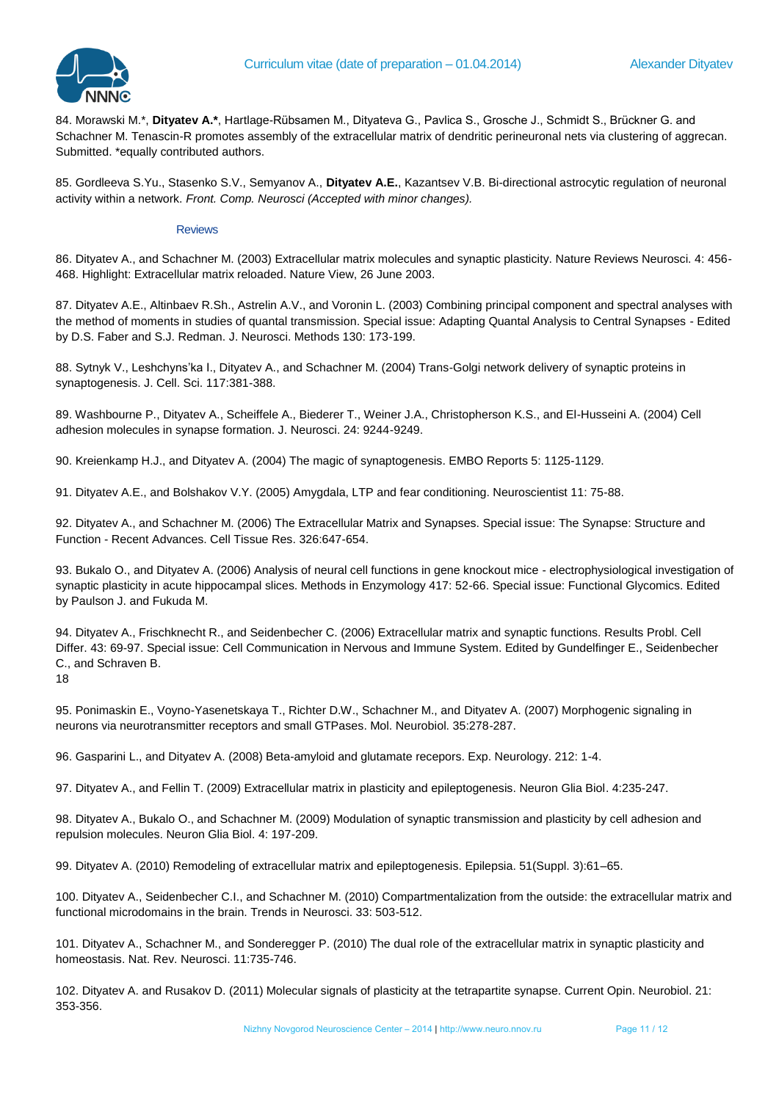

84. Morawski M.\*, **Dityatev A.\***, Hartlage-Rübsamen M., Dityateva G., Pavlica S., Grosche J., Schmidt S., Brückner G. and Schachner M. Tenascin-R promotes assembly of the extracellular matrix of dendritic perineuronal nets via clustering of aggrecan. Submitted. \*equally contributed authors.

85. Gordleeva S.Yu., Stasenko S.V., Semyanov A., **Dityatev A.E.**, Kazantsev V.B. Bi-directional astrocytic regulation of neuronal activity within a network. *Front. Comp. Neurosci (Accepted with minor changes).* 

# **Reviews**

86. Dityatev A., and Schachner M. (2003) Extracellular matrix molecules and synaptic plasticity. Nature Reviews Neurosci. 4: 456- 468. Highlight: Extracellular matrix reloaded. Nature View, 26 June 2003.

87. Dityatev A.E., Altinbaev R.Sh., Astrelin A.V., and Voronin L. (2003) Combining principal component and spectral analyses with the method of moments in studies of quantal transmission. Special issue: Adapting Quantal Analysis to Central Synapses - Edited by D.S. Faber and S.J. Redman. J. Neurosci. Methods 130: 173-199.

88. Sytnyk V., Leshchyns'ka I., Dityatev A., and Schachner M. (2004) Trans-Golgi network delivery of synaptic proteins in synaptogenesis. J. Cell. Sci. 117:381-388.

89. Washbourne P., Dityatev A., Scheiffele A., Biederer T., Weiner J.A., Christopherson K.S., and El-Husseini A. (2004) Cell adhesion molecules in synapse formation. J. Neurosci. 24: 9244-9249.

90. Kreienkamp H.J., and Dityatev A. (2004) The magic of synaptogenesis. EMBO Reports 5: 1125-1129.

91. Dityatev A.E., and Bolshakov V.Y. (2005) Amygdala, LTP and fear conditioning. Neuroscientist 11: 75-88.

92. Dityatev A., and Schachner M. (2006) The Extracellular Matrix and Synapses. Special issue: The Synapse: Structure and Function - Recent Advances. Cell Tissue Res. 326:647-654.

93. Bukalo O., and Dityatev A. (2006) Analysis of neural cell functions in gene knockout mice - electrophysiological investigation of synaptic plasticity in acute hippocampal slices. Methods in Enzymology 417: 52-66. Special issue: Functional Glycomics. Edited by Paulson J. and Fukuda M.

94. Dityatev A., Frischknecht R., and Seidenbecher C. (2006) Extracellular matrix and synaptic functions. Results Probl. Cell Differ. 43: 69-97. Special issue: Cell Communication in Nervous and Immune System. Edited by Gundelfinger E., Seidenbecher C., and Schraven B.

18

95. Ponimaskin E., Voyno-Yasenetskaya T., Richter D.W., Schachner M., and Dityatev A. (2007) Morphogenic signaling in neurons via neurotransmitter receptors and small GTPases. Mol. Neurobiol. 35:278-287.

96. Gasparini L., and Dityatev A. (2008) Beta-amyloid and glutamate recepors. Exp. Neurology. 212: 1-4.

97. Dityatev A., and Fellin T. (2009) Extracellular matrix in plasticity and epileptogenesis. Neuron Glia Biol. 4:235-247.

98. Dityatev A., Bukalo O., and Schachner M. (2009) Modulation of synaptic transmission and plasticity by cell adhesion and repulsion molecules. Neuron Glia Biol. 4: 197-209.

99. Dityatev A. (2010) Remodeling of extracellular matrix and epileptogenesis. Epilepsia. 51(Suppl. 3):61–65.

100. Dityatev A., Seidenbecher C.I., and Schachner M. (2010) Compartmentalization from the outside: the extracellular matrix and functional microdomains in the brain. Trends in Neurosci. 33: 503-512.

101. Dityatev A., Schachner M., and Sonderegger P. (2010) The dual role of the extracellular matrix in synaptic plasticity and homeostasis. Nat. Rev. Neurosci. 11:735-746.

102. Dityatev A. and Rusakov D. (2011) Molecular signals of plasticity at the tetrapartite synapse. Current Opin. Neurobiol. 21: 353-356.